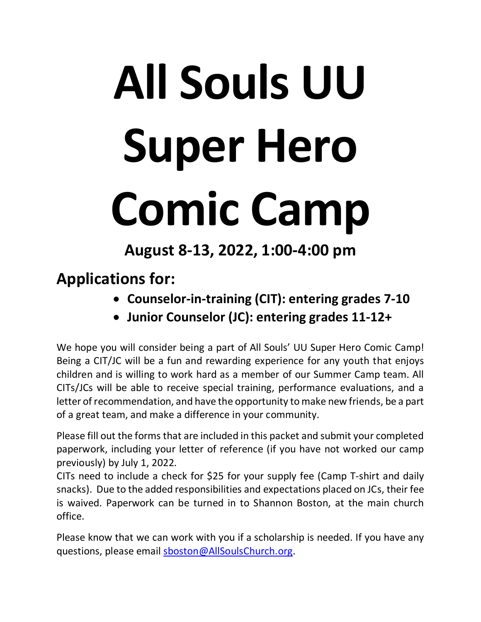# **All Souls UU Super Hero Comic Camp**

**August 8-13, 2022, 1:00-4:00 pm**

**Applications for:** 

- **Counselor-in-training (CIT): entering grades 7-10**
- **Junior Counselor (JC): entering grades 11-12+**

We hope you will consider being a part of All Souls' UU Super Hero Comic Camp! Being a CIT/JC will be a fun and rewarding experience for any youth that enjoys children and is willing to work hard as a member of our Summer Camp team. All CITs/JCs will be able to receive special training, performance evaluations, and a letter of recommendation, and have the opportunity to make new friends, be a part of a great team, and make a difference in your community.

Please fill out the forms that are included in this packet and submit your completed paperwork, including your letter of reference (if you have not worked our camp previously) by July 1, 2022.

CITs need to include a check for \$25 for your supply fee (Camp T-shirt and daily snacks). Due to the added responsibilities and expectations placed on JCs, their fee is waived. Paperwork can be turned in to Shannon Boston, at the main church office.

Please know that we can work with you if a scholarship is needed. If you have any questions, please email [sboston@AllSoulsChurch.org.](mailto:sboston@AllSoulsChurch.org)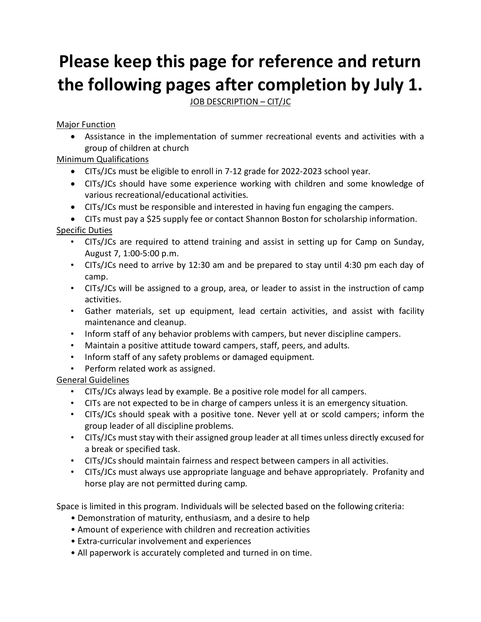# **Please keep this page for reference and return the following pages after completion by July 1.**

JOB DESCRIPTION – CIT/JC

### **Major Function**

• Assistance in the implementation of summer recreational events and activities with a group of children at church

## Minimum Qualifications

- CITs/JCs must be eligible to enroll in 7-12 grade for 2022-2023 school year.
- CITs/JCs should have some experience working with children and some knowledge of various recreational/educational activities.
- CITs/JCs must be responsible and interested in having fun engaging the campers.

• CITs must pay a \$25 supply fee or contact Shannon Boston for scholarship information. Specific Duties

- CITs/JCs are required to attend training and assist in setting up for Camp on Sunday, August 7, 1:00-5:00 p.m.
- CITs/JCs need to arrive by 12:30 am and be prepared to stay until 4:30 pm each day of camp.
- CITs/JCs will be assigned to a group, area, or leader to assist in the instruction of camp activities.
- Gather materials, set up equipment, lead certain activities, and assist with facility maintenance and cleanup.
- Inform staff of any behavior problems with campers, but never discipline campers.
- Maintain a positive attitude toward campers, staff, peers, and adults.
- Inform staff of any safety problems or damaged equipment.
- Perform related work as assigned.

## General Guidelines

- CITs/JCs always lead by example. Be a positive role model for all campers.
- CITs are not expected to be in charge of campers unless it is an emergency situation.
- CITs/JCs should speak with a positive tone. Never yell at or scold campers; inform the group leader of all discipline problems.
- CITs/JCs must stay with their assigned group leader at all times unless directly excused for a break or specified task.
- CITs/JCs should maintain fairness and respect between campers in all activities.
- CITs/JCs must always use appropriate language and behave appropriately. Profanity and horse play are not permitted during camp.

Space is limited in this program. Individuals will be selected based on the following criteria:

- Demonstration of maturity, enthusiasm, and a desire to help
- Amount of experience with children and recreation activities
- Extra-curricular involvement and experiences
- All paperwork is accurately completed and turned in on time.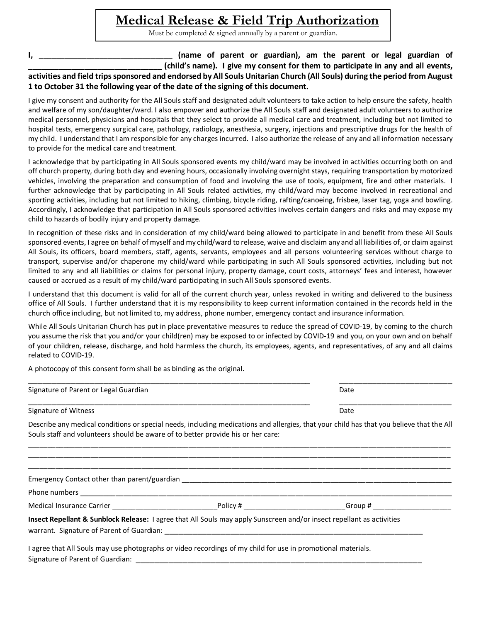## **Medical Release & Field Trip Authorization**

Must be completed & signed annually by a parent or guardian.

**I, \_\_\_\_\_\_\_\_\_\_\_\_\_\_\_\_\_\_\_\_\_\_\_\_\_\_\_\_\_\_\_ (name of parent or guardian), am the parent or legal guardian of \_\_\_\_\_\_\_\_\_\_\_\_\_\_\_\_\_\_\_\_\_\_\_\_\_\_\_\_\_\_\_ (child's name). I give my consent for them to participate in any and all events, activities and field trips sponsored and endorsed by All Souls Unitarian Church (All Souls) during the period from August 1 to October 31 the following year of the date of the signing of this document.** 

I give my consent and authority for the All Souls staff and designated adult volunteers to take action to help ensure the safety, health and welfare of my son/daughter/ward. I also empower and authorize the All Souls staff and designated adult volunteers to authorize medical personnel, physicians and hospitals that they select to provide all medical care and treatment, including but not limited to hospital tests, emergency surgical care, pathology, radiology, anesthesia, surgery, injections and prescriptive drugs for the health of my child. I understand that I am responsible for any charges incurred. I also authorize the release of any and all information necessary to provide for the medical care and treatment.

I acknowledge that by participating in All Souls sponsored events my child/ward may be involved in activities occurring both on and off church property, during both day and evening hours, occasionally involving overnight stays, requiring transportation by motorized vehicles, involving the preparation and consumption of food and involving the use of tools, equipment, fire and other materials. I further acknowledge that by participating in All Souls related activities, my child/ward may become involved in recreational and sporting activities, including but not limited to hiking, climbing, bicycle riding, rafting/canoeing, frisbee, laser tag, yoga and bowling. Accordingly, I acknowledge that participation in All Souls sponsored activities involves certain dangers and risks and may expose my child to hazards of bodily injury and property damage.

In recognition of these risks and in consideration of my child/ward being allowed to participate in and benefit from these All Souls sponsored events, I agree on behalf of myself and my child/ward to release, waive and disclaim any and all liabilities of, or claim against All Souls, its officers, board members, staff, agents, servants, employees and all persons volunteering services without charge to transport, supervise and/or chaperone my child/ward while participating in such All Souls sponsored activities, including but not limited to any and all liabilities or claims for personal injury, property damage, court costs, attorneys' fees and interest, however caused or accrued as a result of my child/ward participating in such All Souls sponsored events.

I understand that this document is valid for all of the current church year, unless revoked in writing and delivered to the business office of All Souls. I further understand that it is my responsibility to keep current information contained in the records held in the church office including, but not limited to, my address, phone number, emergency contact and insurance information.

While All Souls Unitarian Church has put in place preventative measures to reduce the spread of COVID-19, by coming to the church you assume the risk that you and/or your child(ren) may be exposed to or infected by COVID-19 and you, on your own and on behalf of your children, release, discharge, and hold harmless the church, its employees, agents, and representatives, of any and all claims related to COVID-19.

A photocopy of this consent form shall be as binding as the original.

| Signature of Parent or Legal Guardian                                                                                 | Date                                                                                                                                     |
|-----------------------------------------------------------------------------------------------------------------------|------------------------------------------------------------------------------------------------------------------------------------------|
| Signature of Witness                                                                                                  | Date                                                                                                                                     |
| Souls staff and volunteers should be aware of to better provide his or her care:                                      | Describe any medical conditions or special needs, including medications and allergies, that your child has that you believe that the All |
|                                                                                                                       |                                                                                                                                          |
|                                                                                                                       |                                                                                                                                          |
| Insect Repellant & Sunblock Release: I agree that All Souls may apply Sunscreen and/or insect repellant as activities |                                                                                                                                          |
| I agree that All Souls may use photographs or video recordings of my child for use in promotional materials.          |                                                                                                                                          |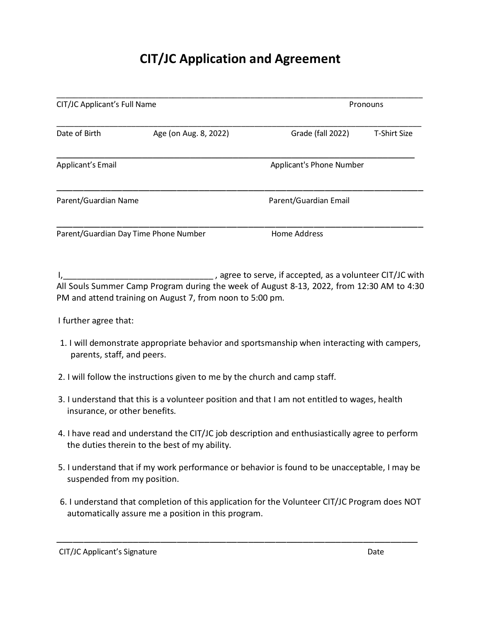# **CIT/JC Application and Agreement**

| CIT/JC Applicant's Full Name          |                       |                                 | Pronouns     |  |  |
|---------------------------------------|-----------------------|---------------------------------|--------------|--|--|
| Date of Birth                         | Age (on Aug. 8, 2022) | Grade (fall 2022)               | T-Shirt Size |  |  |
| Applicant's Email                     |                       | <b>Applicant's Phone Number</b> |              |  |  |
| Parent/Guardian Name                  |                       | Parent/Guardian Email           |              |  |  |
| Parent/Guardian Day Time Phone Number |                       | Home Address                    |              |  |  |

I, 1, 1, 1, 200 and the contract of the serve, if accepted, as a volunteer CIT/JC with All Souls Summer Camp Program during the week of August 8-13, 2022, from 12:30 AM to 4:30 PM and attend training on August 7, from noon to 5:00 pm.

I further agree that:

- 1. I will demonstrate appropriate behavior and sportsmanship when interacting with campers, parents, staff, and peers.
- 2. I will follow the instructions given to me by the church and camp staff.
- 3. I understand that this is a volunteer position and that I am not entitled to wages, health insurance, or other benefits.
- 4. I have read and understand the CIT/JC job description and enthusiastically agree to perform the duties therein to the best of my ability.
- 5. I understand that if my work performance or behavior is found to be unacceptable, I may be suspended from my position.
- 6. I understand that completion of this application for the Volunteer CIT/JC Program does NOT automatically assure me a position in this program.

\_\_\_\_\_\_\_\_\_\_\_\_\_\_\_\_\_\_\_\_\_\_\_\_\_\_\_\_\_\_\_\_\_\_\_\_\_\_\_\_\_\_\_\_\_\_\_\_\_\_\_\_\_\_\_\_\_\_\_\_\_\_\_\_\_\_

CIT/JC Applicant's Signature Date Date of the United States of the Date of the Date of the Date of the Date of the Date of the Date of the Date of the Date of the Date of the Date of the Date of the Date of the Date of the